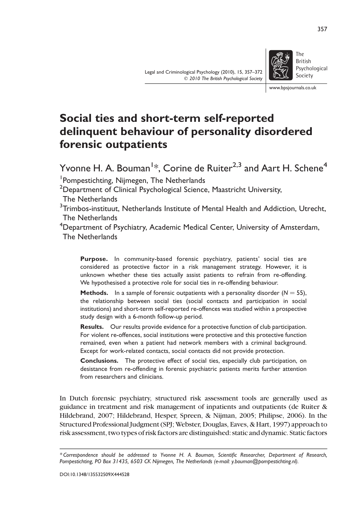Legal and Criminological Psychology (2010), 15, 357–372  $Q$  2010 The British Psychological Society



British Psychological Society

www.bpsjournals.co.uk

# Social ties and short-term self-reported delinquent behaviour of personality disordered forensic outpatients

Yvonne H. A. Bouman<sup>1</sup>\*, Corine de Ruiter<sup>2,3</sup> and Aart H. Schene<sup>4</sup>

<sup>1</sup> Pompestichting, Nijmegen, The Netherlands

<sup>2</sup>Department of Clinical Psychological Science, Maastricht University,

The Netherlands

 $^3$ Trimbos-instituut, Netherlands Institute of Mental Health and Addiction, Utrecht, The Netherlands

<sup>4</sup>Department of Psychiatry, Academic Medical Center, University of Amsterdam, The Netherlands

Purpose. In community-based forensic psychiatry, patients' social ties are considered as protective factor in a risk management strategy. However, it is unknown whether these ties actually assist patients to refrain from re-offending. We hypothesised a protective role for social ties in re-offending behaviour.

**Methods.** In a sample of forensic outpatients with a personality disorder  $(N = 55)$ , the relationship between social ties (social contacts and participation in social institutions) and short-term self-reported re-offences was studied within a prospective study design with a 6-month follow-up period.

Results. Our results provide evidence for a protective function of club participation. For violent re-offences, social institutions were protective and this protective function remained, even when a patient had network members with a criminal background. Except for work-related contacts, social contacts did not provide protection.

Conclusions. The protective effect of social ties, especially club participation, on desistance from re-offending in forensic psychiatric patients merits further attention from researchers and clinicians.

In Dutch forensic psychiatry, structured risk assessment tools are generally used as guidance in treatment and risk management of inpatients and outpatients (de Ruiter & Hildebrand, 2007; Hildebrand, Hesper, Spreen, & Nijman, 2005; Philipse, 2006). In the Structured Professional Judgment (SPJ; Webster, Douglas, Eaves, & Hart, 1997) approach to risk assessment, two types of risk factors are distinguished: static and dynamic. Static factors

357

<sup>\*</sup> Correspondence should be addressed to Yvonne H. A. Bouman, Scientific Researcher, Department of Research, Pompestichting, PO Box 31435, 6503 CK Nijmegen, The Netherlands (e-mail: y.bouman@pompestichting.nl).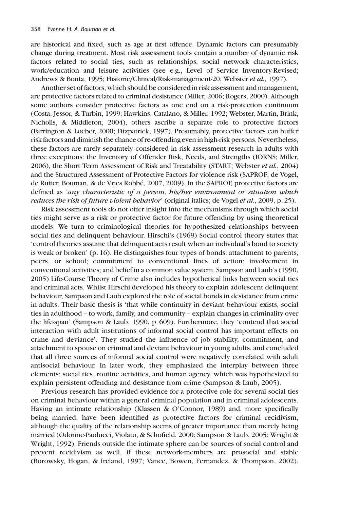are historical and fixed, such as age at first offence. Dynamic factors can presumably change during treatment. Most risk assessment tools contain a number of dynamic risk factors related to social ties, such as relationships, social network characteristics, work/education and leisure activities (see e.g., Level of Service Inventory-Revised; Andrews & Bonta, 1995; Historic/Clinical/Risk-management-20; Webster et al., 1997).

Another set of factors, which should be considered in risk assessment and management, are protective factors related to criminal desistance (Miller, 2006; Rogers, 2000). Although some authors consider protective factors as one end on a risk-protection continuum (Costa, Jessor, & Turbin, 1999; Hawkins, Catalano, & Miller, 1992; Webster, Martin, Brink, Nicholls, & Middleton, 2004), others ascribe a separate role to protective factors (Farrington & Loeber, 2000; Fitzpatrick, 1997). Presumably, protective factors can buffer risk factors and diminish the chance ofre-offendingeven inhigh-risk persons. Nevertheless, these factors are rarely separately considered in risk assessment research in adults with three exceptions: the Inventory of Offender Risk, Needs, and Strengths (IORNS; Miller, 2006), the Short Term Assessment of Risk and Treatability (START; Webster et al., 2004) and the Structured Assessment of Protective Factors for violence risk (SAPROF; de Vogel, de Ruiter, Bouman, & de Vries Robbé, 2007, 2009). In the SAPROF, protective factors are defined as 'any characteristic of a person, his/her environment or situation which reduces the risk of future violent behavior' (original italics; de Vogel et al., 2009, p. 25).

Risk assessment tools do not offer insight into the mechanisms through which social ties might serve as a risk or protective factor for future offending by using theoretical models. We turn to criminological theories for hypothesized relationships between social ties and delinquent behaviour. Hirschi's (1969) Social control theory states that 'control theories assume that delinquent acts result when an individual's bond to society is weak or broken' (p. 16). He distinguishes four types of bonds: attachment to parents, peers, or school; commitment to conventional lines of action; involvement in conventional activities; and belief in a common value system. Sampson and Laub's (1990, 2005) Life-Course Theory of Crime also includes hypothetical links between social ties and criminal acts. Whilst Hirschi developed his theory to explain adolescent delinquent behaviour, Sampson and Laub explored the role of social bonds in desistance from crime in adults. Their basic thesis is 'that while continuity in deviant behaviour exists, social ties in adulthood – to work, family, and community – explain changes in criminality over the life-span' (Sampson & Laub, 1990, p. 609). Furthermore, they 'contend that social interaction with adult institutions of informal social control has important effects on crime and deviance'. They studied the influence of job stability, commitment, and attachment to spouse on criminal and deviant behaviour in young adults, and concluded that all three sources of informal social control were negatively correlated with adult antisocial behaviour. In later work, they emphasized the interplay between three elements: social ties, routine activities, and human agency, which was hypothesized to explain persistent offending and desistance from crime (Sampson & Laub, 2005).

Previous research has provided evidence for a protective role for several social ties on criminal behaviour within a general criminal population and in criminal adolescents. Having an intimate relationship (Klassen & O'Connor, 1989) and, more specifically being married, have been identified as protective factors for criminal recidivism, although the quality of the relationship seems of greater importance than merely being married (Odonne-Paolucci, Violato, & Schofield, 2000; Sampson & Laub, 2005; Wright & Wright, 1992). Friends outside the intimate sphere can be sources of social control and prevent recidivism as well, if these network-members are prosocial and stable (Borowsky, Hogan, & Ireland, 1997; Vance, Bowen, Fernandez, & Thompson, 2002).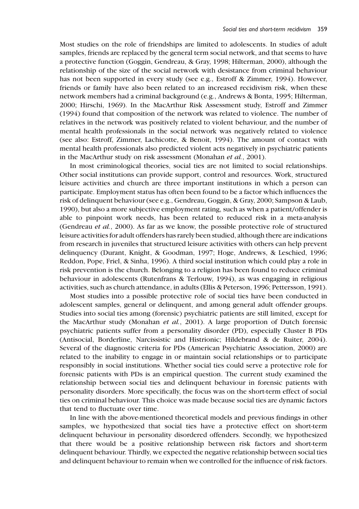Most studies on the role of friendships are limited to adolescents. In studies of adult samples, friends are replaced by the general term social network, and that seems to have a protective function (Goggin, Gendreau, & Gray, 1998; Hilterman, 2000), although the relationship of the size of the social network with desistance from criminal behaviour has not been supported in every study (see e.g., Estroff & Zimmer, 1994). However, friends or family have also been related to an increased recidivism risk, when these network members had a criminal background (e.g., Andrews & Bonta, 1995; Hilterman, 2000; Hirschi, 1969). In the MacArthur Risk Assessment study, Estroff and Zimmer (1994) found that composition of the network was related to violence. The number of relatives in the network was positively related to violent behaviour, and the number of mental health professionals in the social network was negatively related to violence (see also: Estroff, Zimmer, Lachicotte, & Benoit, 1994). The amount of contact with mental health professionals also predicted violent acts negatively in psychiatric patients in the MacArthur study on risk assessment (Monahan et al., 2001).

In most criminological theories, social ties are not limited to social relationships. Other social institutions can provide support, control and resources. Work, structured leisure activities and church are three important institutions in which a person can participate. Employment status has often been found to be a factor which influences the risk of delinquent behaviour(see e.g., Gendreau, Goggin, & Gray, 2000; Sampson & Laub, 1990), but also a more subjective employment rating, such as when a patient/offender is able to pinpoint work needs, has been related to reduced risk in a meta-analysis (Gendreau et al., 2000). As far as we know, the possible protective role of structured leisure activitiesfor adult offenders hasrarely been studied, although there are indications from research in juveniles that structured leisure activities with others can help prevent delinquency (Durant, Knight, & Goodman, 1997; Hoge, Andrews, & Leschied, 1996; Reddon, Pope, Friel, & Sinha, 1996). A third social institution which could play a role in risk prevention is the church. Belonging to a religion has been found to reduce criminal behaviour in adolescents (Rutenfrans & Terlouw, 1994), as was engaging in religious activities, such as church attendance, in adults (Ellis & Peterson, 1996; Pettersson, 1991).

Most studies into a possible protective role of social ties have been conducted in adolescent samples, general or delinquent, and among general adult offender groups. Studies into social ties among (forensic) psychiatric patients are still limited, except for the MacArthur study (Monahan et al., 2001). A large proportion of Dutch forensic psychiatric patients suffer from a personality disorder (PD), especially Cluster B PDs (Antisocial, Borderline, Narcissistic and Histrionic; Hildebrand & de Ruiter, 2004). Several of the diagnostic criteria for PDs (American Psychiatric Association, 2000) are related to the inability to engage in or maintain social relationships or to participate responsibly in social institutions. Whether social ties could serve a protective role for forensic patients with PDs is an empirical question. The current study examined the relationship between social ties and delinquent behaviour in forensic patients with personality disorders. More specifically, the focus was on the short-term effect of social ties on criminal behaviour. This choice was made because social ties are dynamic factors that tend to fluctuate over time.

In line with the above-mentioned theoretical models and previous findings in other samples, we hypothesized that social ties have a protective effect on short-term delinquent behaviour in personality disordered offenders. Secondly, we hypothesized that there would be a positive relationship between risk factors and short-term delinquent behaviour. Thirdly, we expected the negative relationship between social ties and delinquent behaviour to remain when we controlled for the influence of risk factors.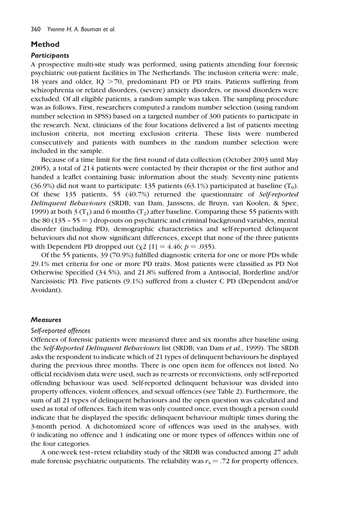# Method

## **Participants**

A prospective multi-site study was performed, using patients attending four forensic psychiatric out-patient facilities in The Netherlands. The inclusion criteria were: male, 18 years and older,  $IQ > 70$ , predominant PD or PD traits. Patients suffering from schizophrenia or related disorders, (severe) anxiety disorders, or mood disorders were excluded. Of all eligible patients, a random sample was taken. The sampling procedure was as follows. First, researchers computed a random number selection (using random number selection in SPSS) based on a targeted number of 300 patients to participate in the research. Next, clinicians of the four locations delivered a list of patients meeting inclusion criteria, not meeting exclusion criteria. These lists were numbered consecutively and patients with numbers in the random number selection were included in the sample.

Because of a time limit for the first round of data collection (October 2003 until May 2005), a total of 214 patients were contacted by their therapist or the first author and handed a leaflet containing basic information about the study. Seventy-nine patients  $(36.9%)$  did not want to participate: 135 patients  $(63.1%)$  participated at baseline  $(T_0)$ . Of these 135 patients, 55 (40.7%) returned the questionnaire of Self-reported Delinquent Behaviours (SRDB; van Dam, Janssens, de Bruyn, van Koolen, & Spee, 1999) at both 3 (T<sub>1</sub>) and 6 months (T<sub>2</sub>) after baseline. Comparing these 55 patients with the 80 (135 – 55  $=$  ) drop-outs on psychiatric and criminal background variables, mental disorder (including PD), demographic characteristics and self-reported delinquent behaviours did not show significant differences, except that none of the three patients with Dependent PD dropped out  $(y2 \mid 1] = 4.46$ ;  $p = .035$ ).

Of the 55 patients, 39 (70.9%) fulfilled diagnostic criteria for one or more PDs while 29.1% met criteria for one or more PD traits. Most patients were classified as PD Not Otherwise Specified (34.5%), and 21.8% suffered from a Antisocial, Borderline and/or Narcissistic PD. Five patients (9.1%) suffered from a cluster C PD (Dependent and/or Avoidant).

## **Measures**

## Self-reported offences

Offences of forensic patients were measured three and six months after baseline using the *Self-Reported Delinquent Behaviours* list (SRDB; van Dam *et al.*, 1999). The SRDB asks the respondent to indicate which of 21 types of delinquent behaviours he displayed during the previous three months. There is one open item for offences not listed. No official recidivism data were used, such as re-arrests or reconvictions, only self-reported offending behaviour was used. Self-reported delinquent behaviour was divided into property offences, violent offences, and sexual offences (see Table 2). Furthermore, the sum of all 21 types of delinquent behaviours and the open question was calculated and used as total of offences. Each item was only counted once, even though a person could indicate that he displayed the specific delinquent behaviour multiple times during the 3-month period. A dichotomized score of offences was used in the analyses, with 0 indicating no offence and 1 indicating one or more types of offences within one of the four categories.

A one-week test–retest reliability study of the SRDB was conducted among 27 adult male forensic psychiatric outpatients. The reliability was  $r_s = .72$  for property offences,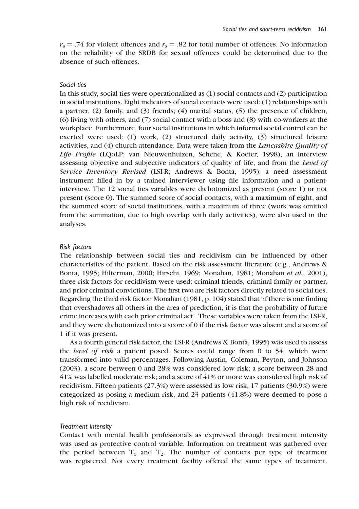$r_s = .74$  for violent offences and  $r_s = .82$  for total number of offences. No information on the reliability of the SRDB for sexual offences could be determined due to the absence of such offences.

## Social ties

In this study, social ties were operationalized as (1) social contacts and (2) participation in social institutions. Eight indicators of social contacts were used: (1) relationships with a partner, (2) family, and (3) friends; (4) marital status, (5) the presence of children, (6) living with others, and (7) social contact with a boss and (8) with co-workers at the workplace. Furthermore, four social institutions in which informal social control can be exerted were used: (1) work, (2) structured daily activity, (3) structured leisure activities, and (4) church attendance. Data were taken from the Lancashire Quality of Life Profile (LQoLP; van Nieuwenhuizen, Schene, & Koeter, 1998), an interview assessing objective and subjective indicators of quality of life, and from the Level of Service Inventory Revised (LSI-R; Andrews & Bonta, 1995), a need assessment instrument filled in by a trained interviewer using file information and a patientinterview. The 12 social ties variables were dichotomized as present (score 1) or not present (score 0). The summed score of social contacts, with a maximum of eight, and the summed score of social institutions, with a maximum of three (work was omitted from the summation, due to high overlap with daily activities), were also used in the analyses.

### Risk factors

The relationship between social ties and recidivism can be influenced by other characteristics of the patient. Based on the risk assessment literature (e.g., Andrews & Bonta, 1995; Hilterman, 2000; Hirschi, 1969; Monahan, 1981; Monahan et al., 2001), three risk factors for recidivism were used: criminal friends, criminal family or partner, and prior criminal convictions. The first two are risk factors directly related to social ties. Regarding the third risk factor, Monahan (1981, p. 104) stated that 'if there is one finding that overshadows all others in the area of prediction, it is that the probability of future crime increases with each prior criminal act'. These variables were taken from the LSI-R, and they were dichotomized into a score of 0 if the risk factor was absent and a score of 1 if it was present.

As a fourth general risk factor, the LSI-R (Andrews & Bonta, 1995) was used to assess the level of risk a patient posed. Scores could range from 0 to 54, which were transformed into valid percentages. Following Austin, Coleman, Peyton, and Johnson  $(2003)$ , a score between 0 and  $28\%$  was considered low risk; a score between 28 and 41% was labelled moderate risk; and a score of 41% or more was considered high risk of recidivism. Fifteen patients (27.3%) were assessed as low risk, 17 patients (30.9%) were categorized as posing a medium risk, and 23 patients (41.8%) were deemed to pose a high risk of recidivism.

#### Treatment intensity

Contact with mental health professionals as expressed through treatment intensity was used as protective control variable. Information on treatment was gathered over the period between  $T_0$  and  $T_2$ . The number of contacts per type of treatment was registered. Not every treatment facility offered the same types of treatment.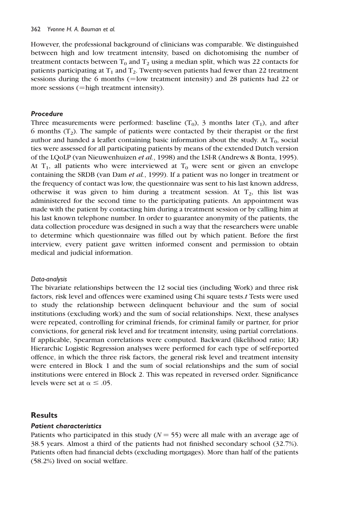However, the professional background of clinicians was comparable. We distinguished between high and low treatment intensity, based on dichotomising the number of treatment contacts between  $T_0$  and  $T_2$  using a median split, which was 22 contacts for patients participating at  $T_1$  and  $T_2$ . Twenty-seven patients had fewer than 22 treatment sessions during the 6 months ( $=$ low treatment intensity) and 28 patients had 22 or more sessions  $(=\text{high treatment intensity})$ .

## Procedure

Three measurements were performed: baseline  $(T_0)$ , 3 months later  $(T_1)$ , and after 6 months  $(T_2)$ . The sample of patients were contacted by their therapist or the first author and handed a leaflet containing basic information about the study. At  $T_0$ , social ties were assessed for all participating patients by means of the extended Dutch version of the LQoLP (van Nieuwenhuizen et al., 1998) and the LSI-R (Andrews & Bonta, 1995). At  $T_1$ , all patients who were interviewed at  $T_0$  were sent or given an envelope containing the SRDB (van Dam et al., 1999). If a patient was no longer in treatment or the frequency of contact was low, the questionnaire was sent to his last known address, otherwise it was given to him during a treatment session. At  $T_2$ , this list was administered for the second time to the participating patients. An appointment was made with the patient by contacting him during a treatment session or by calling him at his last known telephone number. In order to guarantee anonymity of the patients, the data collection procedure was designed in such a way that the researchers were unable to determine which questionnaire was filled out by which patient. Before the first interview, every patient gave written informed consent and permission to obtain medical and judicial information.

## Data-analysis

The bivariate relationships between the 12 social ties (including Work) and three risk factors, risk level and offences were examined using Chi square tests.t Tests were used to study the relationship between delinquent behaviour and the sum of social institutions (excluding work) and the sum of social relationships. Next, these analyses were repeated, controlling for criminal friends, for criminal family or partner, for prior convictions, for general risk level and for treatment intensity, using partial correlations. If applicable, Spearman correlations were computed. Backward (likelihood ratio; LR) Hierarchic Logistic Regression analyses were performed for each type of self-reported offence, in which the three risk factors, the general risk level and treatment intensity were entered in Block 1 and the sum of social relationships and the sum of social institutions were entered in Block 2. This was repeated in reversed order. Significance levels were set at  $\alpha \leq .05$ .

# **Results**

# Patient characteristics

Patients who participated in this study ( $N = 55$ ) were all male with an average age of 38.5 years. Almost a third of the patients had not finished secondary school (32.7%). Patients often had financial debts (excluding mortgages). More than half of the patients (58.2%) lived on social welfare.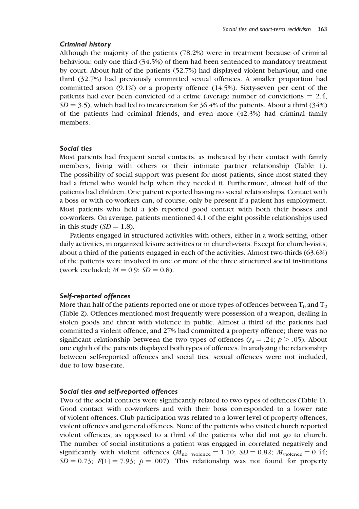### Criminal history

Although the majority of the patients (78.2%) were in treatment because of criminal behaviour, only one third (34.5%) of them had been sentenced to mandatory treatment by court. About half of the patients (52.7%) had displayed violent behaviour, and one third (32.7%) had previously committed sexual offences. A smaller proportion had committed arson (9.1%) or a property offence (14.5%). Sixty-seven per cent of the patients had ever been convicted of a crime (average number of convictions  $= 2.4$ ,  $SD = 3.5$ ), which had led to incarceration for 36.4% of the patients. About a third (34%) of the patients had criminal friends, and even more (42.3%) had criminal family members.

### Social ties

Most patients had frequent social contacts, as indicated by their contact with family members, living with others or their intimate partner relationship (Table 1). The possibility of social support was present for most patients, since most stated they had a friend who would help when they needed it. Furthermore, almost half of the patients had children. One patient reported having no social relationships. Contact with a boss or with co-workers can, of course, only be present if a patient has employment. Most patients who held a job reported good contact with both their bosses and co-workers. On average, patients mentioned 4.1 of the eight possible relationships used in this study  $(SD = 1.8)$ .

Patients engaged in structured activities with others, either in a work setting, other daily activities, in organized leisure activities or in church-visits. Except for church-visits, about a third of the patients engaged in each of the activities. Almost two-thirds (63.6%) of the patients were involved in one or more of the three structured social institutions (work excluded;  $M = 0.9$ ;  $SD = 0.8$ ).

## Self-reported offences

More than half of the patients reported one or more types of offences between  $T_0$  and  $T_2$ (Table 2). Offences mentioned most frequently were possession of a weapon, dealing in stolen goods and threat with violence in public. Almost a third of the patients had committed a violent offence, and 27% had committed a property offence; there was no significant relationship between the two types of offences ( $r_s = .24$ ;  $p > .05$ ). About one eighth of the patients displayed both types of offences. In analyzing the relationship between self-reported offences and social ties, sexual offences were not included, due to low base-rate.

#### Social ties and self-reported offences

Two of the social contacts were significantly related to two types of offences (Table 1). Good contact with co-workers and with their boss corresponded to a lower rate of violent offences. Club participation was related to a lower level of property offences, violent offences and general offences. None of the patients who visited church reported violent offences, as opposed to a third of the patients who did not go to church. The number of social institutions a patient was engaged in correlated negatively and significantly with violent offences ( $M_{\text{no violence}} = 1.10$ ; SD = 0.82;  $M_{\text{violence}} = 0.44$ ;  $SD = 0.73$ ;  $F[1] = 7.93$ ;  $p = .007$ ). This relationship was not found for property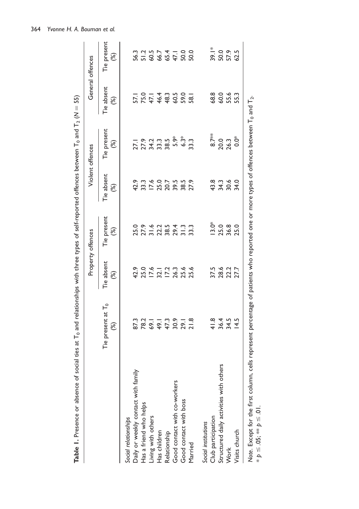| Table 1. Presence or absence of social ties at T <sub>0</sub> and relationships with three types of self-reported offences between T <sub>0</sub> and T <sub>2</sub> (N = 55) |                                                                                                          |                                                      |                              |                                              |                                         |                                 |                                         |
|-------------------------------------------------------------------------------------------------------------------------------------------------------------------------------|----------------------------------------------------------------------------------------------------------|------------------------------------------------------|------------------------------|----------------------------------------------|-----------------------------------------|---------------------------------|-----------------------------------------|
|                                                                                                                                                                               |                                                                                                          |                                                      | Property offences            |                                              | Violent offences                        |                                 | General offences                        |
|                                                                                                                                                                               | Tie present at T <sub>o</sub><br>(%)                                                                     | Tie absent<br>$\mathcal{E}$                          | Tie present<br>$\circledast$ | Tie absent<br>$\mathcal{E}$                  | Tie present<br>$\mathcal{E}$            | Tie absent<br>$\mathcal{E}$     | Tie present<br>$\mathcal{E}$            |
| Social relationships                                                                                                                                                          |                                                                                                          |                                                      |                              |                                              |                                         |                                 |                                         |
| Daily or weekly contact with family                                                                                                                                           |                                                                                                          | 42.9                                                 |                              | 42.9                                         |                                         |                                 |                                         |
| Has a friend who helps                                                                                                                                                        |                                                                                                          |                                                      |                              |                                              |                                         |                                 |                                         |
| Living with others                                                                                                                                                            |                                                                                                          |                                                      |                              |                                              | $7.79$<br>$7.749$<br>$7.799$<br>$7.799$ |                                 |                                         |
| Has children                                                                                                                                                                  |                                                                                                          |                                                      |                              |                                              |                                         |                                 |                                         |
| Relationship                                                                                                                                                                  | 3<br>8 8 9 9 9 9 0 1<br>8 8 9 9 9 9 0 1                                                                  | 25.0<br>25.0<br>25.0<br>25.0<br>25.0<br>25.0<br>25.0 |                              | 33.3<br>17.4<br>20.7<br>20.8<br>27.9<br>27.9 |                                         | 5<br>25448088<br>15448088       | 5<br>5 5 6 6 5 7 6 9<br>3 5 6 6 7 7 9 9 |
| Good contact with co-workers                                                                                                                                                  |                                                                                                          |                                                      |                              |                                              | $5.9*$                                  |                                 |                                         |
| Good contact with boss                                                                                                                                                        |                                                                                                          |                                                      |                              |                                              | $6.3*$                                  |                                 |                                         |
| Married                                                                                                                                                                       |                                                                                                          |                                                      |                              |                                              | 33.3                                    |                                 |                                         |
| Social institutions                                                                                                                                                           |                                                                                                          |                                                      |                              |                                              |                                         |                                 |                                         |
| Club participation                                                                                                                                                            |                                                                                                          |                                                      | $13.0*$                      |                                              | $8.7**$                                 | 68.8                            |                                         |
| Structured daily activities with others                                                                                                                                       | $4 + 3 + 14$<br>$4 + 14$<br>$4 + 14$<br>$4 + 14$<br>$4 + 14$<br>$4 + 14$                                 | 37.5<br>28.6<br>27.7<br>27.7                         | 25.0                         | 8<br>3 3 3 4<br>4 3 5 4                      | 20.0                                    |                                 | $300955$<br>$300952$                    |
| Work                                                                                                                                                                          |                                                                                                          |                                                      | 36.8                         |                                              | 26.3                                    | 0<br>0<br>5<br>5<br>5<br>5<br>5 |                                         |
| Visits church                                                                                                                                                                 |                                                                                                          |                                                      |                              |                                              | $0.0^*$                                 |                                 |                                         |
| Note. Except for the first column, cell<br>* $p \le 0.05$ ; ** $p \le 0.01$ .                                                                                                 | Is represent percentage of patients who reported one or more types of offences between $T_0$ and $T_2$ . |                                                      |                              |                                              |                                         |                                 |                                         |

364 Yvonne H. A. Bouman et al.

 $* p \leq .05; ** p \leq .01.$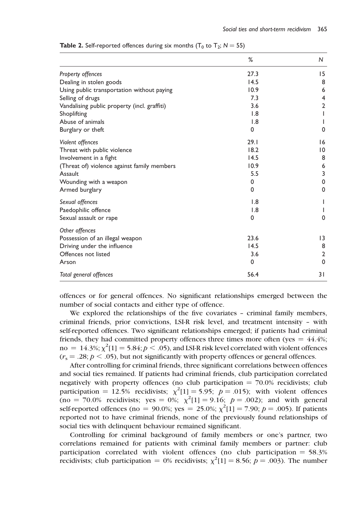|                                              | %        | N              |
|----------------------------------------------|----------|----------------|
| Property offences                            | 27.3     | 15             |
| Dealing in stolen goods                      | 14.5     | 8              |
| Using public transportation without paying   | 10.9     | 6              |
| Selling of drugs                             | 7.3      | 4              |
| Vandalising public property (incl. graffiti) | 3.6      | $\overline{2}$ |
| Shoplifting                                  | 1.8      |                |
| Abuse of animals                             | 1.8      |                |
| Burglary or theft                            | 0        | 0              |
| Violent offences                             | 29.1     | 16             |
| Threat with public violence                  | 18.2     | $\overline{0}$ |
| Involvement in a fight                       | 14.5     | 8              |
| (Threat of) violence against family members  | 10.9     | 6              |
| Assault                                      | 5.5      | 3              |
| Wounding with a weapon                       | 0        | $\mathbf 0$    |
| Armed burglary                               | 0        | $\mathbf 0$    |
| Sexual offences                              | 1.8      |                |
| Paedophilic offence                          | 1.8      |                |
| Sexual assault or rape                       | 0        | $\mathbf 0$    |
| Other offences                               |          |                |
| Possession of an illegal weapon              | 23.6     | 3              |
| Driving under the influence                  | 14.5     | 8              |
| Offences not listed                          | 3.6      | $\overline{2}$ |
| Arson                                        | $\Omega$ | $\mathbf 0$    |
| Total general offences                       | 56.4     | 31             |

**Table 2.** Self-reported offences during six months ( $T_0$  to  $T_2$ ;  $N = 55$ )

offences or for general offences. No significant relationships emerged between the number of social contacts and either type of offence.

We explored the relationships of the five covariates – criminal family members, criminal friends, prior convictions, LSI-R risk level, and treatment intensity – with self-reported offences. Two significant relationships emerged; if patients had criminal friends, they had committed property offences three times more often (yes  $= 44.4\%$ ; no =  $14.3\%$ ;  $\chi^2[1] = 5.84$ ;  $p < .05$ ), and LSI-R risk level correlated with violent offences  $(r<sub>s</sub> = .28; p < .05)$ , but not significantly with property offences or general offences.

After controlling for criminal friends, three significant correlations between offences and social ties remained. If patients had criminal friends, club participation correlated negatively with property offences (no club participation  $= 70.0\%$  recidivists; club participation = 12.5% recidivists;  $\chi^2[1] = 5.95$ ;  $p = .015$ ); with violent offences  $(no = 70.0\% \text{ recidivists}; \text{ yes } = 0\%; \chi^2[1] = 9.16; p = .002); \text{ and with general}$ self-reported offences (no = 90.0%; yes = 25.0%;  $\chi^2[1] = 7.90$ ;  $p = .005$ ). If patients reported not to have criminal friends, none of the previously found relationships of social ties with delinquent behaviour remained significant.

Controlling for criminal background of family members or one's partner, two correlations remained for patients with criminal family members or partner: club participation correlated with violent offences (no club participation  $= 58.3\%$ recidivists; club participation = 0% recidivists;  $\chi^2[1] = 8.56$ ;  $p = .003$ ). The number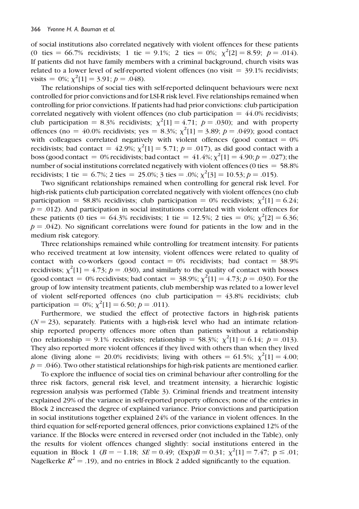of social institutions also correlated negatively with violent offences for these patients (0 ties = 66.7% recidivists; 1 tie = 9.1%; 2 ties = 0%;  $\chi^2[2] = 8.59$ ;  $p = .014$ ). If patients did not have family members with a criminal background, church visits was related to a lower level of self-reported violent offences (no visit  $=$  39.1% recidivists; visits = 0%;  $\chi^2[1] = 3.91; p = .048$ .

The relationships of social ties with self-reported delinquent behaviours were next controlled for prior convictions and for LSI-R risk level. Five relationships remained when controlling for prior convictions. If patients had had prior convictions: club participation correlated negatively with violent offences (no club participation  $= 44.0\%$  recidivists; club participation = 8.3% recidivists;  $\chi^2[1] = 4.71$ ;  $p = .030$ ); and with property offences (no = 40.0% recidivists; yes = 8.3%;  $\chi^2[1] = 3.89; p = .049$ ); good contact with colleagues correlated negatively with violent offences (good contact  $= 0\%$ recidivists; bad contact =  $42.9\%$ ;  $\chi^2[1] = 5.71$ ;  $p = .017$ ), as did good contact with a boss (good contact = 0% recidivists; bad contact =  $41.4\%$ ;  $\chi^2[1] = 4.90; p = .027$ ); the number of social institutions correlated negatively with violent offences (0 ties  $= 58.8\%$ ) recidivists; 1 tie = 6.7%; 2 ties = 25.0%; 3 ties = .0%;  $\chi^2[3] = 10.53$ ;  $p = .015$ ).

Two significant relationships remained when controlling for general risk level. For high-risk patients club participation correlated negatively with violent offences (no club participation = 58.8% recidivists; club participation = 0% recidivists;  $\chi^2[1] = 6.24$ ;  $p = .012$ ). And participation in social institutions correlated with violent offences for these patients (0 ties = 64.3% recidivists; 1 tie = 12.5%; 2 ties = 0%;  $\chi^2[2] = 6.36$ ;  $p = 0.042$ . No significant correlations were found for patients in the low and in the medium risk category.

Three relationships remained while controlling for treatment intensity. For patients who received treatment at low intensity, violent offences were related to quality of contact with co-workers (good contact  $= 0\%$  recidivists; bad contact  $= 38.9\%$ recidivists;  $\chi^2[1] = 4.73$ ;  $p = .030$ ), and similarly to the quality of contact with bosses (good contact = 0% recidivists; bad contact = 38.9%;  $\chi^2[1] = 4.73$ ;  $p = .030$ ). For the group of low intensity treatment patients, club membership was related to a lower level of violent self-reported offences (no club participation  $= 43.8\%$  recidivists; club participation =  $0\%$ ;  $\chi^2[1] = 6.50$ ;  $p = .011$ ).

Furthermore, we studied the effect of protective factors in high-risk patients  $(N = 23)$ , separately. Patients with a high-risk level who had an intimate relationship reported property offences more often than patients without a relationship (no relationship = 9.1% recidivists; relationship = 58.3%;  $\chi^2[1] = 6.14$ ;  $p = .013$ ). They also reported more violent offences if they lived with others than when they lived alone (living alone = 20.0% recidivists; living with others = 61.5%;  $\chi^2[1] = 4.00$ ;  $p = 0.046$ ). Two other statistical relationships for high-risk patients are mentioned earlier.

To explore the influence of social ties on criminal behaviour after controlling for the three risk factors, general risk level, and treatment intensity, a hierarchic logistic regression analysis was performed (Table 3). Criminal friends and treatment intensity explained 29% of the variance in self-reported property offences; none of the entries in Block 2 increased the degree of explained variance. Prior convictions and participation in social institutions together explained 24% of the variance in violent offences. In the third equation for self-reported general offences, prior convictions explained 12% of the variance. If the Blocks were entered in reversed order (not included in the Table), only the results for violent offences changed slightly: social institutions entered in the equation in Block 1 ( $B = -1.18$ ;  $SE = 0.49$ ;  $(\text{Exp})B = 0.31$ ;  $\chi^2[1] = 7.47$ ;  $p \le .01$ ; Nagelkerke  $R^2 = .19$ ), and no entries in Block 2 added significantly to the equation.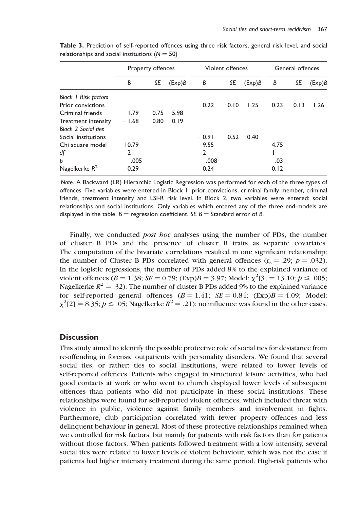|                             | Property offences |      |                 | Violent offences |      |        | General offences |      |        |
|-----------------------------|-------------------|------|-----------------|------------------|------|--------|------------------|------|--------|
|                             | B                 | SE   | $(\text{Exp})B$ | B                | SE   | (Exp)B | В                | SE   | (Exp)B |
| <b>Block I Risk factors</b> |                   |      |                 |                  |      |        |                  |      |        |
| <b>Prior convictions</b>    |                   |      |                 | 0.22             | 0.10 | 1.25   | 0.23             | 0.13 | 1.26   |
| Criminal friends            | 1.79              | 0.75 | 5.98            |                  |      |        |                  |      |        |
| Treatment intensity         | $-1.68$           | 0.80 | 0.19            |                  |      |        |                  |      |        |
| <b>Block 2 Social ties</b>  |                   |      |                 |                  |      |        |                  |      |        |
| Social institutions         |                   |      |                 | $-0.91$          | 0.52 | 0.40   |                  |      |        |
| Chi square model            | 10.79             |      |                 | 9.55             |      |        | 4.75             |      |        |
| df                          | $\mathfrak{p}$    |      |                 | 2                |      |        |                  |      |        |
| Þ                           | .005              |      |                 | .008             |      |        | .03              |      |        |
| Nagelkerke $R^2$            | 0.29              |      |                 | 0.24             |      |        | 0.12             |      |        |

Table 3. Prediction of self-reported offences using three risk factors, general risk level, and social relationships and social institutions ( $N = 50$ )

Note.ABackward (LR) Hierarchic Logistic Regression was performed for each of the three types of offences. Five variables were entered in Block 1: prior convictions, criminal family member, criminal friends, treatment intensity and LSI-R risk level. In Block 2, two variables were entered: social relationships and social institutions. Only variables which entered any of the three end-models are displayed in the table.  $B =$  regression coefficient. SE  $B =$  Standard error of B.

Finally, we conducted *post hoc* analyses using the number of PDs, the number of cluster B PDs and the presence of cluster B traits as separate covariates. The computation of the bivariate correlations resulted in one significant relationship: the number of Cluster B PDs correlated with general offences  $(r_s = .29; p = .032)$ . In the logistic regressions, the number of PDs added 8% to the explained variance of violent offences ( $B = 1.38$ ;  $SE = 0.79$ ; (Exp) $B = 3.97$ ; Model:  $\chi^2[3] = 13.10$ ;  $p \le .005$ ; Nagelkerke  $R^2 = .32$ ). The number of cluster B PDs added 9% to the explained variance for self-reported general offences  $(B = 1.41; SE = 0.84; (Exp)B = 4.09; Model:$  $\chi^2$ [2] = 8.35;  $p \le 0.05$ ; Nagelkerke  $R^2 = 0.21$ ; no influence was found in the other cases.

# **Discussion**

This study aimed to identify the possible protective role of social ties for desistance from re-offending in forensic outpatients with personality disorders. We found that several social ties, or rather: ties to social institutions, were related to lower levels of self-reported offences. Patients who engaged in structured leisure activities, who had good contacts at work or who went to church displayed lower levels of subsequent offences than patients who did not participate in these social institutions. These relationships were found for self-reported violent offences, which included threat with violence in public, violence against family members and involvement in fights. Furthermore, club participation correlated with fewer property offences and less delinquent behaviour in general. Most of these protective relationships remained when we controlled for risk factors, but mainly for patients with risk factors than for patients without those factors. When patients followed treatment with a low intensity, several social ties were related to lower levels of violent behaviour, which was not the case if patients had higher intensity treatment during the same period. High-risk patients who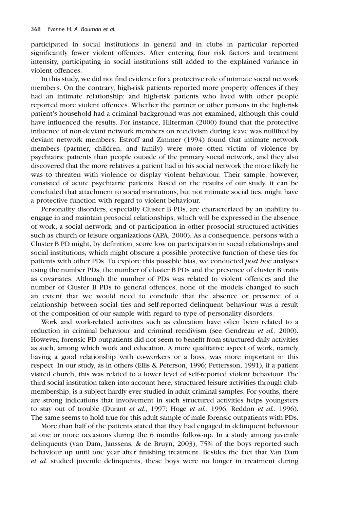participated in social institutions in general and in clubs in particular reported significantly fewer violent offences. After entering four risk factors and treatment intensity, participating in social institutions still added to the explained variance in violent offences.

In this study, we did not find evidence for a protective role of intimate social network members. On the contrary, high-risk patients reported more property offences if they had an intimate relationship; and high-risk patients who lived with other people reported more violent offences. Whether the partner or other persons in the high-risk patient's household had a criminal background was not examined, although this could have influenced the results. For instance, Hilterman (2000) found that the protective influence of non-deviant network members on recidivism during leave was nullified by deviant network members. Estroff and Zimmer (1994) found that intimate network members (partner, children, and family) were more often victim of violence by psychiatric patients than people outside of the primary social network, and they also discovered that the more relatives a patient had in his social network the more likely he was to threaten with violence or display violent behaviour. Their sample, however, consisted of acute psychiatric patients. Based on the results of our study, it can be concluded that attachment to social institutions, but not intimate social ties, might have a protective function with regard to violent behaviour.

Personality disorders, especially Cluster B PDs, are characterized by an inability to engage in and maintain prosocial relationships, which will be expressed in the absence of work, a social network, and of participation in other prosocial structured activities such as church or leisure organizations (APA, 2000). As a consequence, persons with a Cluster B PD might, by definition, score low on participation in social relationships and social institutions, which might obscure a possible protective function of these ties for patients with other PDs. To explore this possible bias, we conducted *post hoc* analyses using the number PDs, the number of cluster B PDs and the presence of cluster B traits as covariates. Although the number of PDs was related to violent offences and the number of Cluster B PDs to general offences, none of the models changed to such an extent that we would need to conclude that the absence or presence of a relationship between social ties and self-reported delinquent behaviour was a result of the composition of our sample with regard to type of personality disorders.

Work and work-related activities such as education have often been related to a reduction in criminal behaviour and criminal recidivism (see Gendreau et al., 2000). However, forensic PD outpatients did not seem to benefit from structured daily activities as such, among which work and education. A more qualitative aspect of work, namely having a good relationship with co-workers or a boss, was more important in this respect. In our study, as in others (Ellis & Peterson, 1996; Pettersson, 1991), if a patient visited church, this was related to a lower level of self-reported violent behaviour. The third social institution taken into account here, structured leisure activities through clubmembership, is a subject hardly ever studied in adult criminal samples. For youths, there are strong indications that involvement in such structured activities helps youngsters to stay out of trouble (Durant et al., 1997; Hoge et al., 1996; Reddon et al., 1996). The same seems to hold true for this adult sample of male forensic outpatients with PDs.

More than half of the patients stated that they had engaged in delinquent behaviour at one or more occasions during the 6 months follow-up. In a study among juvenile delinquents (van Dam, Janssens, & de Bruyn, 2003), 75% of the boys reported such behaviour up until one year after finishing treatment. Besides the fact that Van Dam et al. studied juvenile delinquents, these boys were no longer in treatment during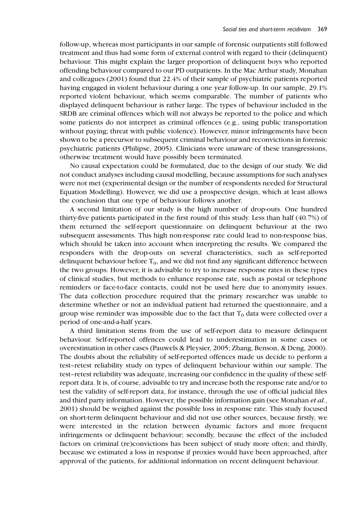follow-up, whereas most participants in our sample of forensic outpatients still followed treatment and thus had some form of external control with regard to their (delinquent) behaviour. This might explain the larger proportion of delinquent boys who reported offending behaviour compared to our PD outpatients. In the Mac Arthur study, Monahan and colleagues (2001) found that 22.4% of their sample of psychiatric patients reported having engaged in violent behaviour during a one year follow-up. In our sample, 29.1% reported violent behaviour, which seems comparable. The number of patients who displayed delinquent behaviour is rather large. The types of behaviour included in the SRDB are criminal offences which will not always be reported to the police and which some patients do not interpret as criminal offences (e.g., using public transportation without paying; threat with public violence). However, minor infringements have been shown to be a precursor to subsequent criminal behaviour and reconvictions in forensic psychiatric patients (Philipse, 2005). Clinicians were unaware of these transgressions, otherwise treatment would have possibly been terminated.

No causal expectation could be formulated, due to the design of our study. We did not conduct analyses including causal modelling, because assumptions for such analyses were not met (experimental design or the number of respondents needed for Structural Equation Modelling). However, we did use a prospective design, which at least allows the conclusion that one type of behaviour follows another.

A second limitation of our study is the high number of drop-outs. One hundred thirty-five patients participated in the first round of this study. Less than half (40.7%) of them returned the self-report questionnaire on delinquent behaviour at the two subsequent assessments. This high non-response rate could lead to non-response bias, which should be taken into account when interpreting the results. We compared the responders with the drop-outs on several characteristics, such as self-reported delinquent behaviour before  $T_0$ , and we did not find any significant difference between the two groups. However, it is advisable to try to increase response rates in these types of clinical studies, but methods to enhance response rate, such as postal or telephone reminders or face-to-face contacts, could not be used here due to anonymity issues. The data collection procedure required that the primary researcher was unable to determine whether or not an individual patient had returned the questionnaire, and a group wise reminder was impossible due to the fact that  $T_0$  data were collected over a period of one-and-a-half years.

A third limitation stems from the use of self-report data to measure delinquent behaviour. Self-reported offences could lead to underestimation in some cases or overestimation in other cases (Pauwels & Pleysier, 2005; Zhang, Benson, & Deng, 2000). The doubts about the reliability of self-reported offences made us decide to perform a test–retest reliability study on types of delinquent behaviour within our sample. The test–retest reliability was adequate, increasing our confidence in the quality of these selfreport data. It is, of course, advisable to try and increase both the response rate and/or to test the validity of self-report data, for instance, through the use of official judicial files and third party information. However, the possible information gain (see Monahan et al., 2001) should be weighed against the possible loss in response rate. This study focused on short-term delinquent behaviour and did not use other sources, because firstly, we were interested in the relation between dynamic factors and more frequent infringements or delinquent behaviour; secondly, because the effect of the included factors on criminal (re)convictions has been subject of study more often; and thirdly, because we estimated a loss in response if proxies would have been approached, after approval of the patients, for additional information on recent delinquent behaviour.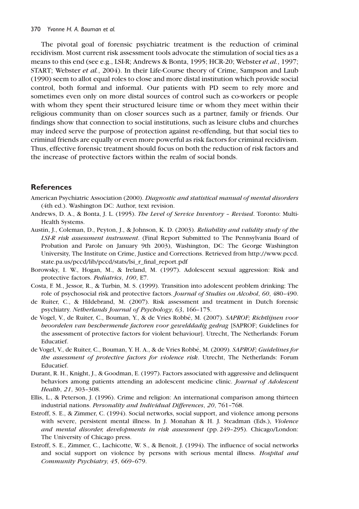The pivotal goal of forensic psychiatric treatment is the reduction of criminal recidivism. Most current risk assessment tools advocate the stimulation of social ties as a means to this end (see e.g., LSI-R; Andrews & Bonta, 1995; HCR-20; Webster *et al.*, 1997; START; Webster et al., 2004). In their Life-Course theory of Crime, Sampson and Laub (1990) seem to allot equal roles to close and more distal institution which provide social control, both formal and informal. Our patients with PD seem to rely more and sometimes even only on more distal sources of control such as co-workers or people with whom they spent their structured leisure time or whom they meet within their religious community than on closer sources such as a partner, family or friends. Our findings show that connection to social institutions, such as leisure clubs and churches may indeed serve the purpose of protection against re-offending, but that social ties to criminal friends are equally or even more powerful as risk factors for criminal recidivism. Thus, effective forensic treatment should focus on both the reduction of risk factors and the increase of protective factors within the realm of social bonds.

# References

American Psychiatric Association (2000). Diagnostic and statistical manual of mental disorders (4th ed.). Washington DC: Author, text revision.

- Andrews, D. A., & Bonta, J. L. (1995). The Level of Service Inventory Revised. Toronto: Multi-Health Systems.
- Austin, J., Coleman, D., Peyton, J., & Johnson, K. D. (2003). Reliability and validity study of the LSI-R risk assessment instrument. (Final Report Submitted to The Pennsylvania Board of Probation and Parole on January 9th 2003), Washington, DC: The George Washington University, The Institute on Crime, Justice and Corrections. Retrieved from http://www.pccd. state.pa.us/pccd/lib/pccd/stats/lsi\_r\_final\_report.pdf
- Borowsky, I. W., Hogan, M., & Ireland, M. (1997). Adolescent sexual aggression: Risk and protective factors. Pediatrics, 100, E7.
- Costa, F. M., Jessor, R., & Turbin, M. S. (1999). Transition into adolescent problem drinking: The role of psychosocial risk and protective factors. Journal of Studies on Alcohol, 60, 480-490.
- de Ruiter, C., & Hildebrand, M. (2007). Risk assessment and treatment in Dutch forensic psychiatry. Netherlands Journal of Psychology, 63, 166–175.
- de Vogel, V., de Ruiter, C., Bouman, Y., & de Vries Robbé, M. (2007). SAPROF; Richtlijnen voor beoordelen van beschermende factoren voor gewelddadig gedrag [SAPROF; Guidelines for the assessment of protective factors for violent behaviour]. Utrecht, The Netherlands: Forum Educatief.
- de Vogel, V., de Ruiter, C., Bouman, Y. H. A., & de Vries Robbé, M. (2009). SAPROF; Guidelines for the assessment of protective factors for violence risk. Utrecht, The Netherlands: Forum Educatief.
- Durant, R. H., Knight, J., & Goodman, E. (1997). Factors associated with aggressive and delinquent behaviors among patients attending an adolescent medicine clinic. Journal of Adolescent Health, 21, 303–308.
- Ellis, L., & Peterson, J. (1996). Crime and religion: An international comparison among thirteen industrial nations. Personality and Individual Differences, 20, 761–768.
- Estroff, S. E., & Zimmer, C. (1994). Social networks, social support, and violence among persons with severe, persistent mental illness. In J. Monahan & H. J. Steadman (Eds.), Violence and mental disorder, developments in risk assessment (pp. 249–295). Chicago/London: The University of Chicago press.
- Estroff, S. E., Zimmer, C., Lachicotte, W. S., & Benoit, J. (1994). The influence of social networks and social support on violence by persons with serious mental illness. Hospital and Community Psychiatry, 45, 669–679.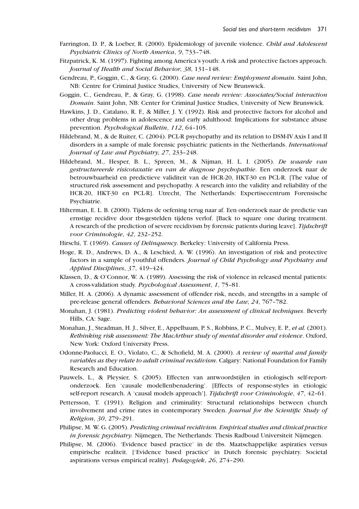- Farrington, D. P., & Loeber, R. (2000). Epidemiology of juvenile violence. Child and Adolescent Psychiatric Clinics of North America, 9, 733–748.
- Fitzpatrick, K. M. (1997). Fighting among America's youth: A risk and protective factors approach. Journal of Health and Social Behavior, 38, 131–148.
- Gendreau, P., Goggin, C., & Gray, G. (2000). Case need review: Employment domain. Saint John, NB: Centre for Criminal Justice Studies, University of New Brunswick.
- Goggin, C., Gendreau, P., & Gray, G. (1998). Case needs review: Associates/Social interaction Domain. Saint John, NB: Center for Criminal Justice Studies, University of New Brunswick.
- Hawkins, J. D., Catalano, R. F., & Miller, J. Y. (1992). Risk and protective factors for alcohol and other drug problems in adolescence and early adulthood: Implications for substance abuse prevention. Psychological Bulletin, 112, 64–105.
- Hildebrand, M., & de Ruiter, C. (2004). PCL-R psychopathy and its relation to DSM-IVAxis I and II disorders in a sample of male forensic psychiatric patients in the Netherlands. International Journal of Law and Psychiatry, 27, 233–248.
- Hildebrand, M., Hesper, B. L., Spreen, M., & Nijman, H. L. I. (2005). De waarde van gestructureerde risicotaxatie en van de diagnose psychopathie. Een onderzoek naar de betrouwbaarheid en predictieve validiteit van de HCR-20, HKT-30 en PCL-R. [The value of structured risk assessment and psychopathy. A research into the validity and reliability of the HCR-20, HKT-30 en PCL-R]. Utrecht, The Netherlands: Expertisecentrum Forensische Psychiatrie.
- Hilterman, E. L. B. (2000). Tijdens de oefening terug naar af. Een onderzoek naar de predictie van ernstige recidive door tbs-gestelden tijdens verlof. [Back to square one during treatment. A research of the prediction of severe recidivism by forensic patients during leave]. Tijdschrift voor Criminologie, 42, 232–252.
- Hirschi, T. (1969). Causes of Delinquency. Berkeley: University of California Press.
- Hoge, R. D., Andrews, D. A., & Leschied, A. W. (1996). An investigation of risk and protective factors in a sample of youthful offenders. Journal of Child Psychology and Psychiatry and Applied Disciplines, 37, 419–424.
- Klassen, D., & O'Connor, W. A. (1989). Assessing the risk of violence in released mental patients: A cross-validation study. Psychological Assessment, 1, 75–81.
- Miller, H. A. (2006). A dynamic assessment of offender risk, needs, and strengths in a sample of pre-release general offenders. Behavioral Sciences and the Law, 24, 767–782.
- Monahan, J. (1981). Predicting violent behavior: An assessment of clinical techniques. Beverly Hills, CA: Sage.
- Monahan, J., Steadman, H. J., Silver, E., Appelbaum, P. S., Robbins, P. C., Mulvey, E. P., et al. (2001). Rethinking risk assessment: The MacArthur study of mental disorder and violence. Oxford, New York: Oxford University Press.
- Odonne-Paolucci, E. O., Violato, C., & Schofield, M. A. (2000). A review of marital and family variables as they relate to adult criminal recidivism. Calgary: National Foundation for Family Research and Education.
- Pauwels, L., & Pleysier, S. (2005). Effecten van antwoordstijlen in etiologisch self-reportonderzoek. Een 'causale modellenbenadering'. [Effects of response-styles in etiologic self-report research. A 'causal models approach']. Tijdschrift voor Criminologie, 47, 42-61.
- Pettersson, T. (1991). Religion and criminality: Structural relationships between church involvement and crime rates in contemporary Sweden. Journal for the Scientific Study of Religion, 30, 279–291.
- Philipse, M. W. G. (2005). Predicting criminal recidivism. Empirical studies and clinical practice in forensic psychiatry. Nijmegen, The Netherlands: Thesis Radboud Universiteit Nijmegen.
- Philipse, M. (2006). 'Evidence based practice' in de tbs. Maatschappelijke aspiraties versus empirische realiteit. ['Evidence based practice' in Dutch forensic psychiatry. Societal aspirations versus empirical reality]. Pedagogiek, 26, 274–290.